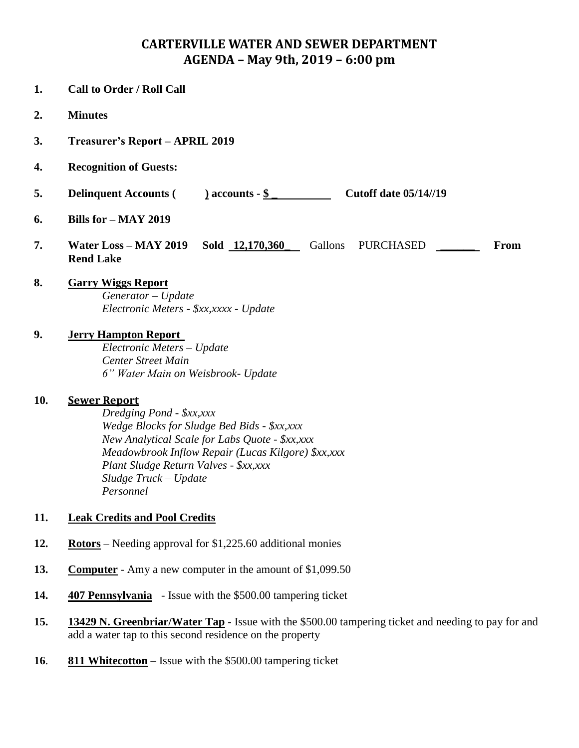## **CARTERVILLE WATER AND SEWER DEPARTMENT AGENDA – May 9th, 2019 – 6:00 pm**

- **1. Call to Order / Roll Call 2. Minutes 3. Treasurer's Report – APRIL 2019 4. Recognition of Guests: 5. Delinquent Accounts ( ) accounts - \$ \_ Cutoff date 05/14//19 6. Bills for – MAY 2019 7. Water Loss – MAY 2019 Sold 12,170,360\_** Gallons PURCHASED **\_\_\_\_\_\_ From Rend Lake 8. Garry Wiggs Report** *Generator – Update Electronic Meters - \$xx,xxxx - Update* **9. Jerry Hampton Report** *Electronic Meters – Update Center Street Main 6" Water Main on Weisbrook- Update* **10. Sewer Report** *Dredging Pond - \$xx,xxx Wedge Blocks for Sludge Bed Bids - \$xx,xxx New Analytical Scale for Labs Quote - \$xx,xxx Meadowbrook Inflow Repair (Lucas Kilgore) \$xx,xxx Plant Sludge Return Valves - \$xx,xxx Sludge Truck – Update Personnel* **11. Leak Credits and Pool Credits 12. Rotors** – Needing approval for \$1,225.60 additional monies **13. Computer** - Amy a new computer in the amount of \$1,099.50
- **14. 407 Pennsylvania** Issue with the \$500.00 tampering ticket
- **15. 13429 N. Greenbriar/Water Tap** Issue with the \$500.00 tampering ticket and needing to pay for and add a water tap to this second residence on the property
- **16**. **811 Whitecotton** Issue with the \$500.00 tampering ticket